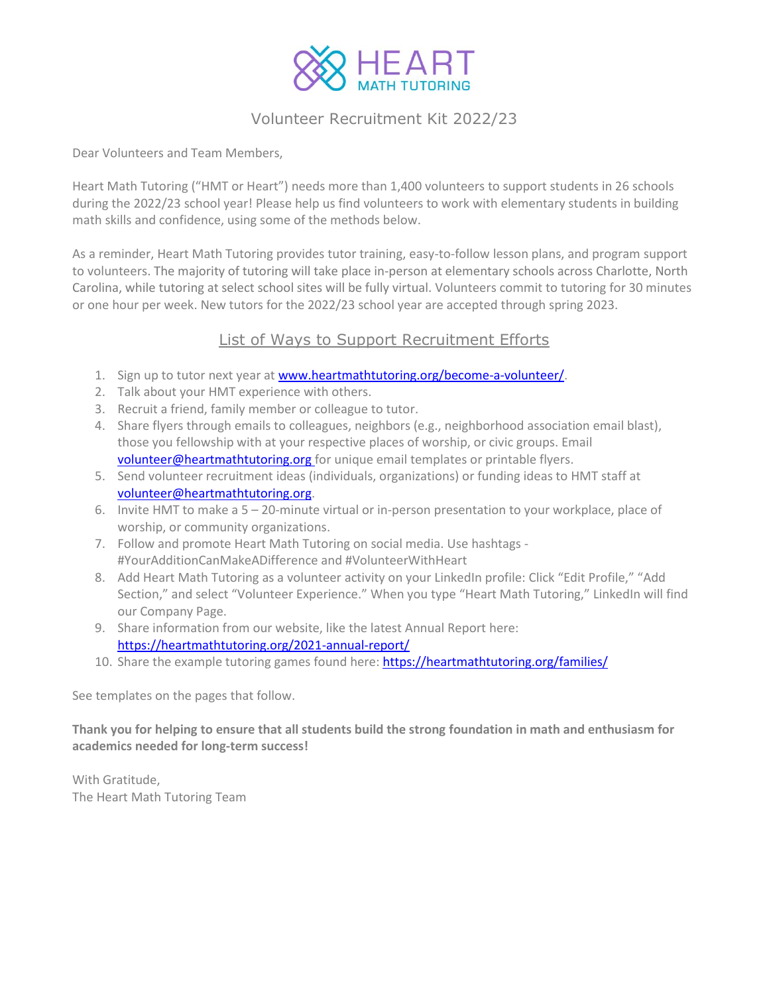

### Volunteer Recruitment Kit 2022/23

Dear Volunteers and Team Members,

Heart Math Tutoring ("HMT or Heart") needs more than 1,400 volunteers to support students in 26 schools during the 2022/23 school year! Please help us find volunteers to work with elementary students in building math skills and confidence, using some of the methods below.

As a reminder, Heart Math Tutoring provides tutor training, easy-to-follow lesson plans, and program support to volunteers. The majority of tutoring will take place in-person at elementary schools across Charlotte, North Carolina, while tutoring at select school sites will be fully virtual. Volunteers commit to tutoring for 30 minutes or one hour per week. New tutors for the 2022/23 school year are accepted through spring 2023.

### List of Ways to Support Recruitment Efforts

- 1. Sign up to tutor next year a[t www.heartmathtutoring.org/become-a-volunteer/.](http://www.heartmathtutoring.org/become-a-volunteer/)
- 2. Talk about your HMT experience with others.
- 3. Recruit a friend, family member or colleague to tutor.
- 4. Share flyers through emails to colleagues, neighbors (e.g., neighborhood association email blast), those you fellowship with at your respective places of worship, or civic groups. Email [volunteer@heartmathtutoring.org](mailto:volunteer@heartmathtutoring.org) for unique email templates or printable flyers.
- 5. Send volunteer recruitment ideas (individuals, organizations) or funding ideas to HMT staff at [volunteer@heartmathtutoring.org.](mailto:volunteer@heartmathtutoring.org)
- 6. Invite HMT to make a 5 20-minute virtual or in-person presentation to your workplace, place of worship, or community organizations.
- 7. Follow and promote Heart Math Tutoring on social media. Use hashtags #YourAdditionCanMakeADifference and #VolunteerWithHeart
- 8. Add Heart Math Tutoring as a volunteer activity on your LinkedIn profile: Click "Edit Profile," "Add Section," and select "Volunteer Experience." When you type "Heart Math Tutoring," LinkedIn will find our Company Page.
- 9. Share information from our website, like the latest Annual Report here: <https://heartmathtutoring.org/2021-annual-report/>
- 10. Share the example tutoring games found here[: https://heartmathtutoring.org/families/](https://heartmathtutoring.org/families/)

See templates on the pages that follow.

**Thank you for helping to ensure that all students build the strong foundation in math and enthusiasm for academics needed for long-term success!**

With Gratitude, The Heart Math Tutoring Team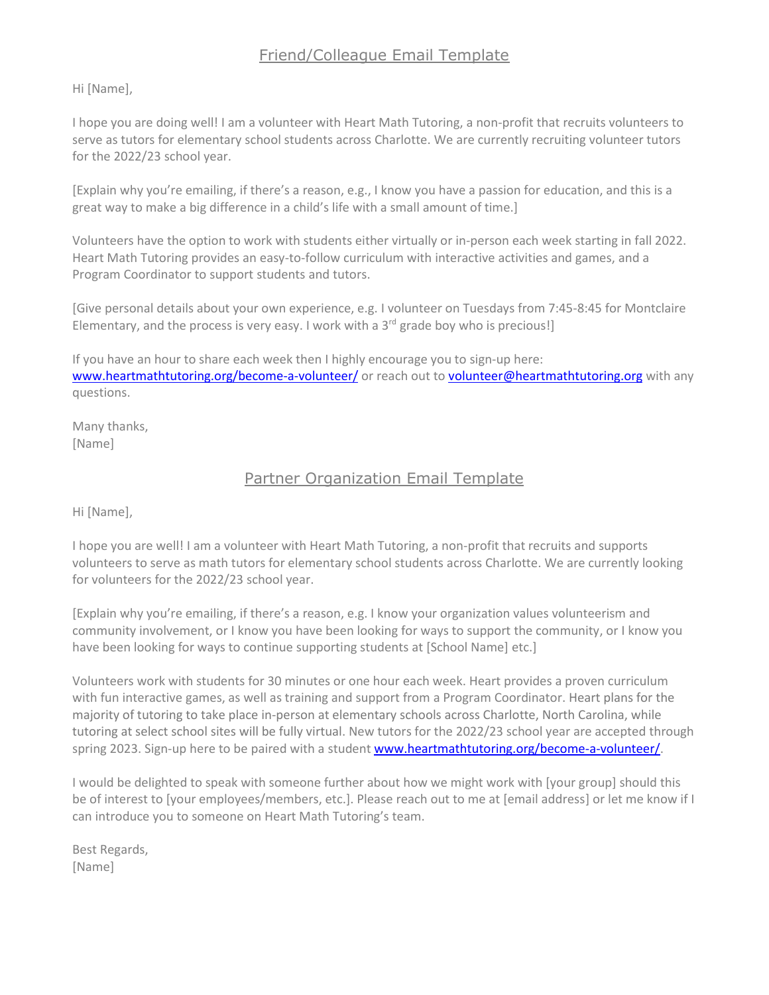# Friend/Colleague Email Template

Hi [Name],

I hope you are doing well! I am a volunteer with Heart Math Tutoring, a non-profit that recruits volunteers to serve as tutors for elementary school students across Charlotte. We are currently recruiting volunteer tutors for the 2022/23 school year.

[Explain why you're emailing, if there's a reason, e.g., I know you have a passion for education, and this is a great way to make a big difference in a child's life with a small amount of time.]

Volunteers have the option to work with students either virtually or in-person each week starting in fall 2022. Heart Math Tutoring provides an easy-to-follow curriculum with interactive activities and games, and a Program Coordinator to support students and tutors.

[Give personal details about your own experience, e.g. I volunteer on Tuesdays from 7:45-8:45 for Montclaire Elementary, and the process is very easy. I work with a  $3<sup>rd</sup>$  grade boy who is precious!]

If you have an hour to share each week then I highly encourage you to sign-up here: [www.heartmathtutoring.org/become-a-volunteer/](http://www.heartmathtutoring.org/become-a-volunteer/) or reach out to [volunteer@heartmathtutoring.org](mailto:volunteer@heartmathtutoring.org) with any questions.

Many thanks, [Name]

### Partner Organization Email Template

Hi [Name],

I hope you are well! I am a volunteer with Heart Math Tutoring, a non-profit that recruits and supports volunteers to serve as math tutors for elementary school students across Charlotte. We are currently looking for volunteers for the 2022/23 school year.

[Explain why you're emailing, if there's a reason, e.g. I know your organization values volunteerism and community involvement, or I know you have been looking for ways to support the community, or I know you have been looking for ways to continue supporting students at [School Name] etc.]

Volunteers work with students for 30 minutes or one hour each week. Heart provides a proven curriculum with fun interactive games, as well as training and support from a Program Coordinator. Heart plans for the majority of tutoring to take place in-person at elementary schools across Charlotte, North Carolina, while tutoring at select school sites will be fully virtual. New tutors for the 2022/23 school year are accepted through spring 2023. Sign-up here to be paired with a student [www.heartmathtutoring.org/become-a-volunteer/.](http://www.heartmathtutoring.org/become-a-volunteer/)

I would be delighted to speak with someone further about how we might work with [your group] should this be of interest to [your employees/members, etc.]. Please reach out to me at [email address] or let me know if I can introduce you to someone on Heart Math Tutoring's team.

Best Regards, [Name]